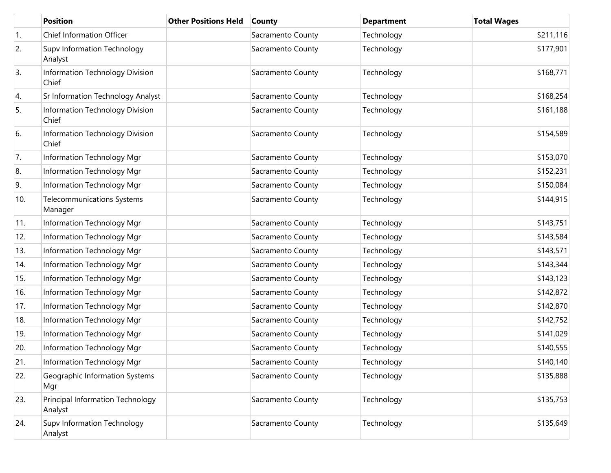|     | <b>Position</b>                              | <b>Other Positions Held</b> | <b>County</b>     | <b>Department</b> | <b>Total Wages</b> |
|-----|----------------------------------------------|-----------------------------|-------------------|-------------------|--------------------|
| 1.  | Chief Information Officer                    |                             | Sacramento County | Technology        | \$211,116          |
| 2.  | Supv Information Technology<br>Analyst       |                             | Sacramento County | Technology        | \$177,901          |
| 3.  | Information Technology Division<br>Chief     |                             | Sacramento County | Technology        | \$168,771          |
| 4.  | Sr Information Technology Analyst            |                             | Sacramento County | Technology        | \$168,254          |
| 5.  | Information Technology Division<br>Chief     |                             | Sacramento County | Technology        | \$161,188          |
| 6.  | Information Technology Division<br>Chief     |                             | Sacramento County | Technology        | \$154,589          |
| 7.  | Information Technology Mgr                   |                             | Sacramento County | Technology        | \$153,070          |
| 8.  | Information Technology Mgr                   |                             | Sacramento County | Technology        | \$152,231          |
| 9.  | Information Technology Mgr                   |                             | Sacramento County | Technology        | \$150,084          |
| 10. | <b>Telecommunications Systems</b><br>Manager |                             | Sacramento County | Technology        | \$144,915          |
| 11. | Information Technology Mgr                   |                             | Sacramento County | Technology        | \$143,751          |
| 12. | Information Technology Mgr                   |                             | Sacramento County | Technology        | \$143,584          |
| 13. | Information Technology Mgr                   |                             | Sacramento County | Technology        | \$143,571          |
| 14. | Information Technology Mgr                   |                             | Sacramento County | Technology        | \$143,344          |
| 15. | Information Technology Mgr                   |                             | Sacramento County | Technology        | \$143,123          |
| 16. | Information Technology Mgr                   |                             | Sacramento County | Technology        | \$142,872          |
| 17. | Information Technology Mgr                   |                             | Sacramento County | Technology        | \$142,870          |
| 18. | Information Technology Mgr                   |                             | Sacramento County | Technology        | \$142,752          |
| 19. | Information Technology Mgr                   |                             | Sacramento County | Technology        | \$141,029          |
| 20. | Information Technology Mgr                   |                             | Sacramento County | Technology        | \$140,555          |
| 21. | Information Technology Mgr                   |                             | Sacramento County | Technology        | \$140,140          |
| 22. | Geographic Information Systems<br>Mgr        |                             | Sacramento County | Technology        | \$135,888          |
| 23. | Principal Information Technology<br>Analyst  |                             | Sacramento County | Technology        | \$135,753          |
| 24. | Supv Information Technology<br>Analyst       |                             | Sacramento County | Technology        | \$135,649          |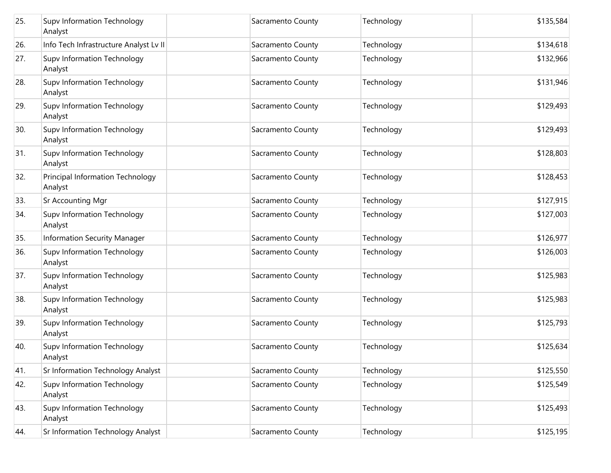| 25. | Supv Information Technology<br>Analyst      | Sacramento County | Technology | \$135,584 |
|-----|---------------------------------------------|-------------------|------------|-----------|
| 26. | Info Tech Infrastructure Analyst Lv II      | Sacramento County | Technology | \$134,618 |
| 27. | Supv Information Technology<br>Analyst      | Sacramento County | Technology | \$132,966 |
| 28. | Supv Information Technology<br>Analyst      | Sacramento County | Technology | \$131,946 |
| 29. | Supv Information Technology<br>Analyst      | Sacramento County | Technology | \$129,493 |
| 30. | Supv Information Technology<br>Analyst      | Sacramento County | Technology | \$129,493 |
| 31. | Supv Information Technology<br>Analyst      | Sacramento County | Technology | \$128,803 |
| 32. | Principal Information Technology<br>Analyst | Sacramento County | Technology | \$128,453 |
| 33. | <b>Sr Accounting Mgr</b>                    | Sacramento County | Technology | \$127,915 |
| 34. | Supv Information Technology<br>Analyst      | Sacramento County | Technology | \$127,003 |
| 35. | Information Security Manager                | Sacramento County | Technology | \$126,977 |
| 36. | Supv Information Technology<br>Analyst      | Sacramento County | Technology | \$126,003 |
| 37. | Supv Information Technology<br>Analyst      | Sacramento County | Technology | \$125,983 |
| 38. | Supv Information Technology<br>Analyst      | Sacramento County | Technology | \$125,983 |
| 39. | Supv Information Technology<br>Analyst      | Sacramento County | Technology | \$125,793 |
| 40. | Supv Information Technology<br>Analyst      | Sacramento County | Technology | \$125,634 |
| 41. | Sr Information Technology Analyst           | Sacramento County | Technology | \$125,550 |
| 42. | Supv Information Technology<br>Analyst      | Sacramento County | Technology | \$125,549 |
| 43. | Supv Information Technology<br>Analyst      | Sacramento County | Technology | \$125,493 |
| 44. | Sr Information Technology Analyst           | Sacramento County | Technology | \$125,195 |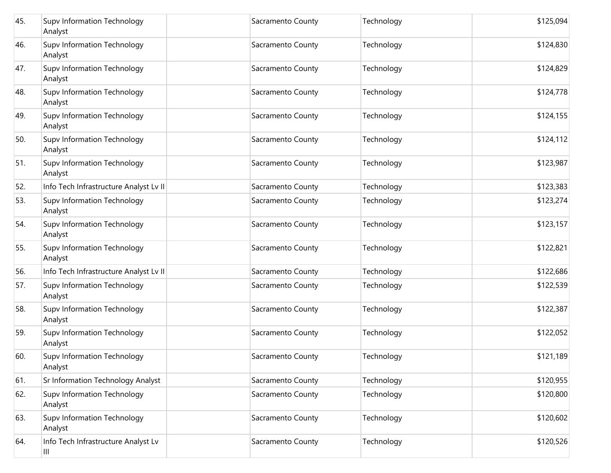| 45. | Supv Information Technology<br>Analyst        | Sacramento County | Technology | \$125,094 |
|-----|-----------------------------------------------|-------------------|------------|-----------|
| 46. | Supv Information Technology<br>Analyst        | Sacramento County | Technology | \$124,830 |
| 47. | Supv Information Technology<br>Analyst        | Sacramento County | Technology | \$124,829 |
| 48. | Supv Information Technology<br>Analyst        | Sacramento County | Technology | \$124,778 |
| 49. | Supv Information Technology<br>Analyst        | Sacramento County | Technology | \$124,155 |
| 50. | Supv Information Technology<br>Analyst        | Sacramento County | Technology | \$124,112 |
| 51. | Supv Information Technology<br>Analyst        | Sacramento County | Technology | \$123,987 |
| 52. | Info Tech Infrastructure Analyst Lv II        | Sacramento County | Technology | \$123,383 |
| 53. | Supv Information Technology<br>Analyst        | Sacramento County | Technology | \$123,274 |
| 54. | Supv Information Technology<br>Analyst        | Sacramento County | Technology | \$123,157 |
| 55. | Supv Information Technology<br>Analyst        | Sacramento County | Technology | \$122,821 |
| 56. | Info Tech Infrastructure Analyst Lv II        | Sacramento County | Technology | \$122,686 |
| 57. | Supv Information Technology<br>Analyst        | Sacramento County | Technology | \$122,539 |
| 58. | Supv Information Technology<br>Analyst        | Sacramento County | Technology | \$122,387 |
| 59. | Supv Information Technology<br>Analyst        | Sacramento County | Technology | \$122,052 |
| 60. | <b>Supv Information Technology</b><br>Analyst | Sacramento County | Technology | \$121,189 |
| 61. | Sr Information Technology Analyst             | Sacramento County | Technology | \$120,955 |
| 62. | Supv Information Technology<br>Analyst        | Sacramento County | Technology | \$120,800 |
| 63. | Supv Information Technology<br>Analyst        | Sacramento County | Technology | \$120,602 |
| 64. | Info Tech Infrastructure Analyst Lv<br>Ш      | Sacramento County | Technology | \$120,526 |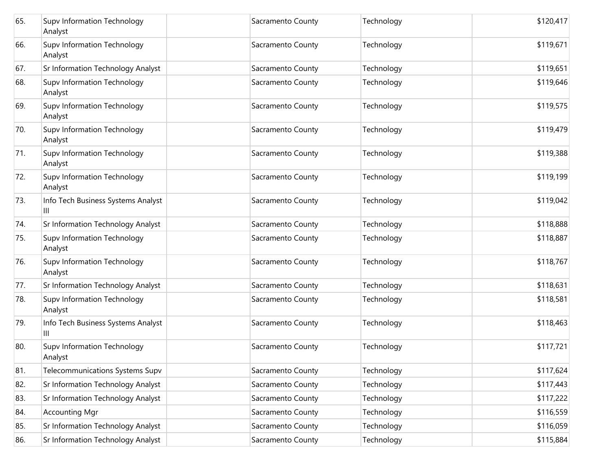| 65. | Supv Information Technology<br>Analyst  | Sacramento County | Technology | \$120,417 |
|-----|-----------------------------------------|-------------------|------------|-----------|
| 66. | Supv Information Technology<br>Analyst  | Sacramento County | Technology | \$119,671 |
| 67. | Sr Information Technology Analyst       | Sacramento County | Technology | \$119,651 |
| 68. | Supv Information Technology<br>Analyst  | Sacramento County | Technology | \$119,646 |
| 69. | Supv Information Technology<br>Analyst  | Sacramento County | Technology | \$119,575 |
| 70. | Supv Information Technology<br>Analyst  | Sacramento County | Technology | \$119,479 |
| 71. | Supv Information Technology<br>Analyst  | Sacramento County | Technology | \$119,388 |
| 72. | Supv Information Technology<br>Analyst  | Sacramento County | Technology | \$119,199 |
| 73. | Info Tech Business Systems Analyst<br>Ш | Sacramento County | Technology | \$119,042 |
| 74. | Sr Information Technology Analyst       | Sacramento County | Technology | \$118,888 |
| 75. | Supv Information Technology<br>Analyst  | Sacramento County | Technology | \$118,887 |
| 76. | Supv Information Technology<br>Analyst  | Sacramento County | Technology | \$118,767 |
| 77. | Sr Information Technology Analyst       | Sacramento County | Technology | \$118,631 |
| 78. | Supv Information Technology<br>Analyst  | Sacramento County | Technology | \$118,581 |
| 79. | Info Tech Business Systems Analyst<br>Ш | Sacramento County | Technology | \$118,463 |
| 80. | Supv Information Technology<br>Analyst  | Sacramento County | Technology | \$117,721 |
| 81. | Telecommunications Systems Supv         | Sacramento County | Technology | \$117,624 |
| 82. | Sr Information Technology Analyst       | Sacramento County | Technology | \$117,443 |
| 83. | Sr Information Technology Analyst       | Sacramento County | Technology | \$117,222 |
| 84. | <b>Accounting Mgr</b>                   | Sacramento County | Technology | \$116,559 |
| 85. | Sr Information Technology Analyst       | Sacramento County | Technology | \$116,059 |
| 86. | Sr Information Technology Analyst       | Sacramento County | Technology | \$115,884 |